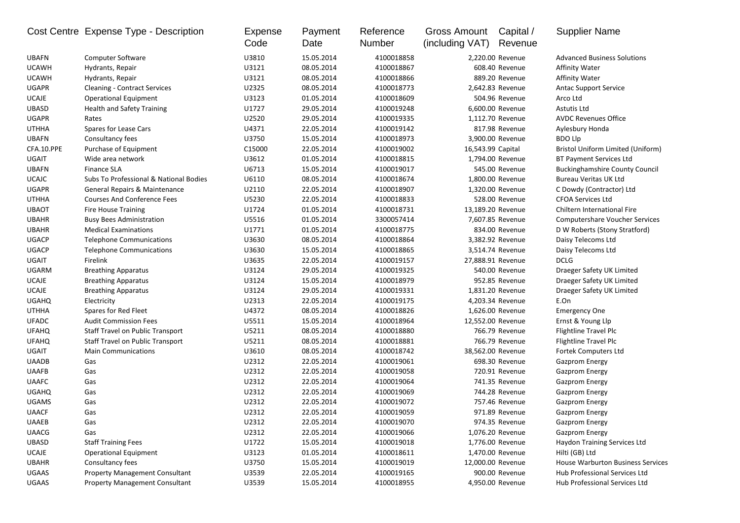|              | Cost Centre Expense Type - Description  | Expense<br>Code | Payment<br>Date | Reference<br>Number | Gross Amount<br>(including VAT) | Capital /<br>Revenue | <b>Supplier Name</b>                     |
|--------------|-----------------------------------------|-----------------|-----------------|---------------------|---------------------------------|----------------------|------------------------------------------|
| <b>UBAFN</b> | Computer Software                       | U3810           | 15.05.2014      | 4100018858          |                                 | 2,220.00 Revenue     | <b>Advanced Business Solutions</b>       |
| <b>UCAWH</b> | Hydrants, Repair                        | U3121           | 08.05.2014      | 4100018867          |                                 | 608.40 Revenue       | <b>Affinity Water</b>                    |
| <b>UCAWH</b> | Hydrants, Repair                        | U3121           | 08.05.2014      | 4100018866          |                                 | 889.20 Revenue       | <b>Affinity Water</b>                    |
| <b>UGAPR</b> | <b>Cleaning - Contract Services</b>     | U2325           | 08.05.2014      | 4100018773          |                                 | 2,642.83 Revenue     | <b>Antac Support Service</b>             |
| <b>UCAJE</b> | <b>Operational Equipment</b>            | U3123           | 01.05.2014      | 4100018609          |                                 | 504.96 Revenue       | Arco Ltd                                 |
| <b>UBASD</b> | <b>Health and Safety Training</b>       | U1727           | 29.05.2014      | 4100019248          |                                 | 6,600.00 Revenue     | Astutis Ltd                              |
| <b>UGAPR</b> | Rates                                   | U2520           | 29.05.2014      | 4100019335          |                                 | 1,112.70 Revenue     | <b>AVDC Revenues Office</b>              |
| <b>UTHHA</b> | Spares for Lease Cars                   | U4371           | 22.05.2014      | 4100019142          |                                 | 817.98 Revenue       | Aylesbury Honda                          |
| <b>UBAFN</b> | Consultancy fees                        | U3750           | 15.05.2014      | 4100018973          |                                 | 3,900.00 Revenue     | <b>BDO Llp</b>                           |
| CFA.10.PPE   | Purchase of Equipment                   | C15000          | 22.05.2014      | 4100019002          | 16,543.99 Capital               |                      | Bristol Uniform Limited (Uniform)        |
| <b>UGAIT</b> | Wide area network                       | U3612           | 01.05.2014      | 4100018815          |                                 | 1,794.00 Revenue     | <b>BT Payment Services Ltd</b>           |
| <b>UBAFN</b> | <b>Finance SLA</b>                      | U6713           | 15.05.2014      | 4100019017          |                                 | 545.00 Revenue       | <b>Buckinghamshire County Council</b>    |
| <b>UCAJC</b> | Subs To Professional & National Bodies  | U6110           | 08.05.2014      | 4100018674          |                                 | 1,800.00 Revenue     | <b>Bureau Veritas UK Ltd</b>             |
| <b>UGAPR</b> | General Repairs & Maintenance           | U2110           | 22.05.2014      | 4100018907          |                                 | 1,320.00 Revenue     | C Dowdy (Contractor) Ltd                 |
| <b>UTHHA</b> | <b>Courses And Conference Fees</b>      | U5230           | 22.05.2014      | 4100018833          |                                 | 528.00 Revenue       | <b>CFOA Services Ltd</b>                 |
| <b>UBAOT</b> | <b>Fire House Training</b>              | U1724           | 01.05.2014      | 4100018731          | 13,189.20 Revenue               |                      | Chiltern International Fire              |
| <b>UBAHR</b> | <b>Busy Bees Administration</b>         | U5516           | 01.05.2014      | 3300057414          |                                 | 7,607.85 Revenue     | <b>Computershare Voucher Services</b>    |
| <b>UBAHR</b> | <b>Medical Examinations</b>             | U1771           | 01.05.2014      | 4100018775          |                                 | 834.00 Revenue       | D W Roberts (Stony Stratford)            |
| <b>UGACP</b> | <b>Telephone Communications</b>         | U3630           | 08.05.2014      | 4100018864          |                                 | 3,382.92 Revenue     | Daisy Telecoms Ltd                       |
| <b>UGACP</b> | <b>Telephone Communications</b>         | U3630           | 15.05.2014      | 4100018865          |                                 | 3,514.74 Revenue     | Daisy Telecoms Ltd                       |
| <b>UGAIT</b> | Firelink                                | U3635           | 22.05.2014      | 4100019157          | 27,888.91 Revenue               |                      | <b>DCLG</b>                              |
| <b>UGARM</b> | <b>Breathing Apparatus</b>              | U3124           | 29.05.2014      | 4100019325          |                                 | 540.00 Revenue       | Draeger Safety UK Limited                |
| <b>UCAJE</b> | <b>Breathing Apparatus</b>              | U3124           | 15.05.2014      | 4100018979          |                                 | 952.85 Revenue       | Draeger Safety UK Limited                |
| <b>UCAJE</b> | <b>Breathing Apparatus</b>              | U3124           | 29.05.2014      | 4100019331          |                                 | 1,831.20 Revenue     | Draeger Safety UK Limited                |
| <b>UGAHQ</b> | Electricity                             | U2313           | 22.05.2014      | 4100019175          |                                 | 4,203.34 Revenue     | E.On                                     |
| <b>UTHHA</b> | Spares for Red Fleet                    | U4372           | 08.05.2014      | 4100018826          |                                 | 1,626.00 Revenue     | <b>Emergency One</b>                     |
| <b>UFADC</b> | <b>Audit Commission Fees</b>            | U5511           | 15.05.2014      | 4100018964          | 12,552.00 Revenue               |                      | Ernst & Young Llp                        |
| <b>UFAHQ</b> | <b>Staff Travel on Public Transport</b> | U5211           | 08.05.2014      | 4100018880          |                                 | 766.79 Revenue       | Flightline Travel Plc                    |
| <b>UFAHQ</b> | <b>Staff Travel on Public Transport</b> | U5211           | 08.05.2014      | 4100018881          |                                 | 766.79 Revenue       | Flightline Travel Plc                    |
| <b>UGAIT</b> | <b>Main Communications</b>              | U3610           | 08.05.2014      | 4100018742          | 38,562.00 Revenue               |                      | Fortek Computers Ltd                     |
| <b>UAADB</b> | Gas                                     | U2312           | 22.05.2014      | 4100019061          |                                 | 698.30 Revenue       | <b>Gazprom Energy</b>                    |
| <b>UAAFB</b> | Gas                                     | U2312           | 22.05.2014      | 4100019058          |                                 | 720.91 Revenue       | <b>Gazprom Energy</b>                    |
| <b>UAAFC</b> | Gas                                     | U2312           | 22.05.2014      | 4100019064          |                                 | 741.35 Revenue       | <b>Gazprom Energy</b>                    |
| UGAHQ        | Gas                                     | U2312           | 22.05.2014      | 4100019069          |                                 | 744.28 Revenue       | <b>Gazprom Energy</b>                    |
| <b>UGAMS</b> | Gas                                     | U2312           | 22.05.2014      | 4100019072          |                                 | 757.46 Revenue       | <b>Gazprom Energy</b>                    |
| <b>UAACF</b> | Gas                                     | U2312           | 22.05.2014      | 4100019059          |                                 | 971.89 Revenue       | <b>Gazprom Energy</b>                    |
| <b>UAAEB</b> | Gas                                     | U2312           | 22.05.2014      | 4100019070          |                                 | 974.35 Revenue       | <b>Gazprom Energy</b>                    |
| <b>UAACG</b> | Gas                                     | U2312           | 22.05.2014      | 4100019066          |                                 | 1,076.20 Revenue     | <b>Gazprom Energy</b>                    |
| UBASD        | <b>Staff Training Fees</b>              | U1722           | 15.05.2014      | 4100019018          |                                 | 1,776.00 Revenue     | Haydon Training Services Ltd             |
| UCAJE        | <b>Operational Equipment</b>            | U3123           | 01.05.2014      | 4100018611          |                                 | 1,470.00 Revenue     | Hilti (GB) Ltd                           |
| <b>UBAHR</b> | Consultancy fees                        | U3750           | 15.05.2014      | 4100019019          | 12,000.00 Revenue               |                      | <b>House Warburton Business Services</b> |
| <b>UGAAS</b> | <b>Property Management Consultant</b>   | U3539           | 22.05.2014      | 4100019165          |                                 | 900.00 Revenue       | Hub Professional Services Ltd            |
| UGAAS        | <b>Property Management Consultant</b>   | U3539           | 15.05.2014      | 4100018955          |                                 | 4,950.00 Revenue     | Hub Professional Services Ltd            |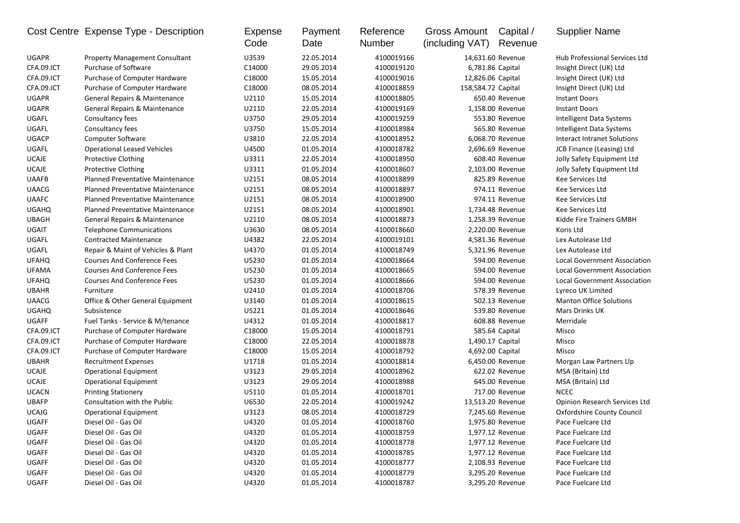|              | Cost Centre Expense Type - Description  | <b>Expense</b><br>Code | Payment<br>Date | Reference<br>Number | Gross Amount<br>(including VAT) | Capital /<br>Revenue | <b>Supplier Name</b>                |
|--------------|-----------------------------------------|------------------------|-----------------|---------------------|---------------------------------|----------------------|-------------------------------------|
| <b>UGAPR</b> | <b>Property Management Consultant</b>   | U3539                  | 22.05.2014      | 4100019166          |                                 | 14,631.60 Revenue    | Hub Professional Services Ltd       |
| CFA.09.ICT   | Purchase of Software                    | C14000                 | 29.05.2014      | 4100019120          | 6,781.86 Capital                |                      | Insight Direct (UK) Ltd             |
| CFA.09.ICT   | Purchase of Computer Hardware           | C18000                 | 15.05.2014      | 4100019016          | 12,826.06 Capital               |                      | Insight Direct (UK) Ltd             |
| CFA.09.ICT   | Purchase of Computer Hardware           | C18000                 | 08.05.2014      | 4100018859          | 158,584.72 Capital              |                      | Insight Direct (UK) Ltd             |
| <b>UGAPR</b> | General Repairs & Maintenance           | U2110                  | 15.05.2014      | 4100018805          |                                 | 650.40 Revenue       | <b>Instant Doors</b>                |
| <b>UGAPR</b> | General Repairs & Maintenance           | U2110                  | 22.05.2014      | 4100019169          |                                 | 1,158.00 Revenue     | <b>Instant Doors</b>                |
| UGAFL        | Consultancy fees                        | U3750                  | 29.05.2014      | 4100019259          |                                 | 553.80 Revenue       | Intelligent Data Systems            |
| UGAFL        | Consultancy fees                        | U3750                  | 15.05.2014      | 4100018984          |                                 | 565.80 Revenue       | Intelligent Data Systems            |
| <b>UGACP</b> | <b>Computer Software</b>                | U3810                  | 22.05.2014      | 4100018952          |                                 | 6,068.70 Revenue     | Interact Intranet Solutions         |
| UGAFL        | <b>Operational Leased Vehicles</b>      | U4500                  | 01.05.2014      | 4100018782          |                                 | 2,696.69 Revenue     | JCB Finance (Leasing) Ltd           |
| <b>UCAJE</b> | <b>Protective Clothing</b>              | U3311                  | 22.05.2014      | 4100018950          |                                 | 608.40 Revenue       | Jolly Safety Equipment Ltd          |
| <b>UCAJE</b> | <b>Protective Clothing</b>              | U3311                  | 01.05.2014      | 4100018607          |                                 | 2,103.00 Revenue     | Jolly Safety Equipment Ltd          |
| <b>UAAFB</b> | Planned Preventative Maintenance        | U2151                  | 08.05.2014      | 4100018899          |                                 | 825.89 Revenue       | Kee Services Ltd                    |
| <b>UAACG</b> | <b>Planned Preventative Maintenance</b> | U2151                  | 08.05.2014      | 4100018897          |                                 | 974.11 Revenue       | Kee Services Ltd                    |
| <b>UAAFC</b> | Planned Preventative Maintenance        | U2151                  | 08.05.2014      | 4100018900          |                                 | 974.11 Revenue       | Kee Services Ltd                    |
| <b>UGAHQ</b> | Planned Preventative Maintenance        | U2151                  | 08.05.2014      | 4100018901          |                                 | 1,734.48 Revenue     | Kee Services Ltd                    |
| <b>UBAGH</b> | General Repairs & Maintenance           | U2110                  | 08.05.2014      | 4100018873          |                                 | 1,258.39 Revenue     | Kidde Fire Trainers GMBH            |
| UGAIT        | <b>Telephone Communications</b>         | U3630                  | 08.05.2014      | 4100018660          |                                 | 2,220.00 Revenue     | Koris Ltd                           |
| UGAFL        | <b>Contracted Maintenance</b>           | U4382                  | 22.05.2014      | 4100019101          |                                 | 4,581.36 Revenue     | Lex Autolease Ltd                   |
| UGAFL        | Repair & Maint of Vehicles & Plant      | U4370                  | 01.05.2014      | 4100018749          |                                 | 5,321.96 Revenue     | Lex Autolease Ltd                   |
| <b>UFAHQ</b> | <b>Courses And Conference Fees</b>      | U5230                  | 01.05.2014      | 4100018664          |                                 | 594.00 Revenue       | <b>Local Government Association</b> |
| <b>UFAMA</b> | <b>Courses And Conference Fees</b>      | U5230                  | 01.05.2014      | 4100018665          |                                 | 594.00 Revenue       | Local Government Association        |
| <b>UFAHQ</b> | <b>Courses And Conference Fees</b>      | U5230                  | 01.05.2014      | 4100018666          |                                 | 594.00 Revenue       | Local Government Association        |
| <b>UBAHR</b> | Furniture                               | U2410                  | 01.05.2014      | 4100018706          |                                 | 578.39 Revenue       | Lyreco UK Limited                   |
| <b>UAACG</b> | Office & Other General Equipment        | U3140                  | 01.05.2014      | 4100018615          |                                 | 502.13 Revenue       | <b>Manton Office Solutions</b>      |
| <b>UGAHQ</b> | Subsistence                             | U5221                  | 01.05.2014      | 4100018646          |                                 | 539.80 Revenue       | <b>Mars Drinks UK</b>               |
| <b>UGAFF</b> | Fuel Tanks - Service & M/tenance        | U4312                  | 01.05.2014      | 4100018817          |                                 | 608.88 Revenue       | Merridale                           |
| CFA.09.ICT   | Purchase of Computer Hardware           | C18000                 | 15.05.2014      | 4100018791          |                                 | 585.64 Capital       | Misco                               |
| CFA.09.ICT   | Purchase of Computer Hardware           | C18000                 | 22.05.2014      | 4100018878          | 1,490.17 Capital                |                      | Misco                               |
| CFA.09.ICT   | Purchase of Computer Hardware           | C18000                 | 15.05.2014      | 4100018792          | 4,692.00 Capital                |                      | Misco                               |
| <b>UBAHR</b> | <b>Recruitment Expenses</b>             | U1718                  | 01.05.2014      | 4100018814          |                                 | 6,450.00 Revenue     | Morgan Law Partners Llp             |
| <b>UCAJE</b> | <b>Operational Equipment</b>            | U3123                  | 29.05.2014      | 4100018962          |                                 | 622.02 Revenue       | MSA (Britain) Ltd                   |
| <b>UCAJE</b> | <b>Operational Equipment</b>            | U3123                  | 29.05.2014      | 4100018988          |                                 | 645.00 Revenue       | MSA (Britain) Ltd                   |
| <b>UCACN</b> | <b>Printing Stationery</b>              | U5110                  | 01.05.2014      | 4100018701          |                                 | 717.00 Revenue       | <b>NCEC</b>                         |
| <b>UBAFP</b> | Consultation with the Public            | U6530                  | 22.05.2014      | 4100019242          | 13,513.20 Revenue               |                      | Opinion Research Services Ltd       |
| <b>UCAJG</b> | <b>Operational Equipment</b>            | U3123                  | 08.05.2014      | 4100018729          |                                 | 7,245.60 Revenue     | Oxfordshire County Council          |
| UGAFF        | Diesel Oil - Gas Oil                    | U4320                  | 01.05.2014      | 4100018760          |                                 | 1,975.80 Revenue     | Pace Fuelcare Ltd                   |
| UGAFF        | Diesel Oil - Gas Oil                    | U4320                  | 01.05.2014      | 4100018759          |                                 | 1,977.12 Revenue     | Pace Fuelcare Ltd                   |
| UGAFF        | Diesel Oil - Gas Oil                    | U4320                  | 01.05.2014      | 4100018778          |                                 | 1,977.12 Revenue     | Pace Fuelcare Ltd                   |
| UGAFF        | Diesel Oil - Gas Oil                    | U4320                  | 01.05.2014      | 4100018785          |                                 | 1,977.12 Revenue     | Pace Fuelcare Ltd                   |
| UGAFF        | Diesel Oil - Gas Oil                    | U4320                  | 01.05.2014      | 4100018777          |                                 | 2,108.93 Revenue     | Pace Fuelcare Ltd                   |
| UGAFF        | Diesel Oil - Gas Oil                    | U4320                  | 01.05.2014      | 4100018779          |                                 | 3,295.20 Revenue     | Pace Fuelcare Ltd                   |
| UGAFF        | Diesel Oil - Gas Oil                    | U4320                  | 01.05.2014      | 4100018787          |                                 | 3,295.20 Revenue     | Pace Fuelcare Ltd                   |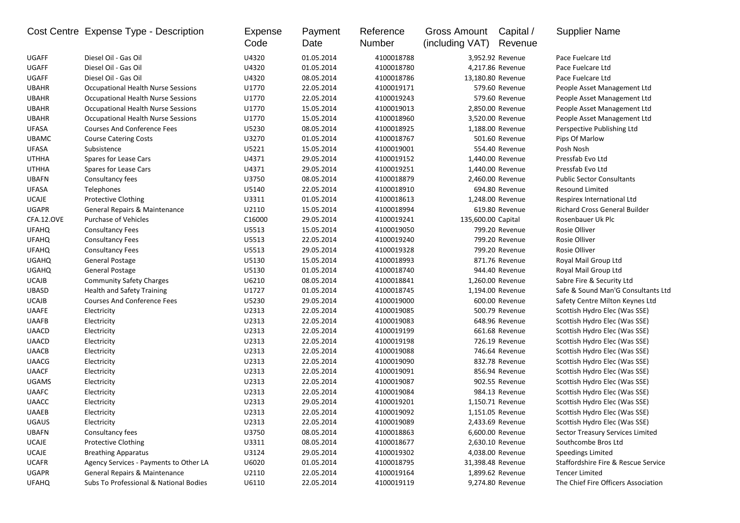|              | Cost Centre Expense Type - Description    | Expense<br>Code | Payment<br>Date | Reference<br>Number | <b>Gross Amount</b><br>(including VAT) | Capital /<br>Revenue | <b>Supplier Name</b>                 |
|--------------|-------------------------------------------|-----------------|-----------------|---------------------|----------------------------------------|----------------------|--------------------------------------|
| <b>UGAFF</b> | Diesel Oil - Gas Oil                      | U4320           | 01.05.2014      | 4100018788          |                                        | 3,952.92 Revenue     | Pace Fuelcare Ltd                    |
| <b>UGAFF</b> | Diesel Oil - Gas Oil                      | U4320           | 01.05.2014      | 4100018780          |                                        | 4,217.86 Revenue     | Pace Fuelcare Ltd                    |
| <b>UGAFF</b> | Diesel Oil - Gas Oil                      | U4320           | 08.05.2014      | 4100018786          | 13,180.80 Revenue                      |                      | Pace Fuelcare Ltd                    |
| <b>UBAHR</b> | <b>Occupational Health Nurse Sessions</b> | U1770           | 22.05.2014      | 4100019171          |                                        | 579.60 Revenue       | People Asset Management Ltd          |
| <b>UBAHR</b> | <b>Occupational Health Nurse Sessions</b> | U1770           | 22.05.2014      | 4100019243          |                                        | 579.60 Revenue       | People Asset Management Ltd          |
| <b>UBAHR</b> | <b>Occupational Health Nurse Sessions</b> | U1770           | 15.05.2014      | 4100019013          |                                        | 2,850.00 Revenue     | People Asset Management Ltd          |
| <b>UBAHR</b> | <b>Occupational Health Nurse Sessions</b> | U1770           | 15.05.2014      | 4100018960          |                                        | 3,520.00 Revenue     | People Asset Management Ltd          |
| <b>UFASA</b> | <b>Courses And Conference Fees</b>        | U5230           | 08.05.2014      | 4100018925          |                                        | 1,188.00 Revenue     | Perspective Publishing Ltd           |
| <b>UBAMC</b> | <b>Course Catering Costs</b>              | U3270           | 01.05.2014      | 4100018767          |                                        | 501.60 Revenue       | Pips Of Marlow                       |
| <b>UFASA</b> | Subsistence                               | U5221           | 15.05.2014      | 4100019001          |                                        | 554.40 Revenue       | Posh Nosh                            |
| <b>UTHHA</b> | Spares for Lease Cars                     | U4371           | 29.05.2014      | 4100019152          |                                        | 1,440.00 Revenue     | Pressfab Evo Ltd                     |
| <b>UTHHA</b> | Spares for Lease Cars                     | U4371           | 29.05.2014      | 4100019251          |                                        | 1,440.00 Revenue     | Pressfab Evo Ltd                     |
| <b>UBAFN</b> | Consultancy fees                          | U3750           | 08.05.2014      | 4100018879          |                                        | 2,460.00 Revenue     | <b>Public Sector Consultants</b>     |
| <b>UFASA</b> | Telephones                                | U5140           | 22.05.2014      | 4100018910          |                                        | 694.80 Revenue       | <b>Resound Limited</b>               |
| <b>UCAJE</b> | <b>Protective Clothing</b>                | U3311           | 01.05.2014      | 4100018613          |                                        | 1,248.00 Revenue     | Respirex International Ltd           |
| <b>UGAPR</b> | General Repairs & Maintenance             | U2110           | 15.05.2014      | 4100018994          |                                        | 619.80 Revenue       | <b>Richard Cross General Builder</b> |
| CFA.12.OVE   | <b>Purchase of Vehicles</b>               | C16000          | 29.05.2014      | 4100019241          | 135,600.00 Capital                     |                      | Rosenbauer Uk Plc                    |
| <b>UFAHQ</b> | <b>Consultancy Fees</b>                   | U5513           | 15.05.2014      | 4100019050          |                                        | 799.20 Revenue       | Rosie Olliver                        |
| <b>UFAHQ</b> | <b>Consultancy Fees</b>                   | U5513           | 22.05.2014      | 4100019240          |                                        | 799.20 Revenue       | Rosie Olliver                        |
| <b>UFAHQ</b> | <b>Consultancy Fees</b>                   | U5513           | 29.05.2014      | 4100019328          |                                        | 799.20 Revenue       | Rosie Olliver                        |
| <b>UGAHQ</b> | General Postage                           | U5130           | 15.05.2014      | 4100018993          |                                        | 871.76 Revenue       | Royal Mail Group Ltd                 |
| <b>UGAHQ</b> | <b>General Postage</b>                    | U5130           | 01.05.2014      | 4100018740          |                                        | 944.40 Revenue       | Royal Mail Group Ltd                 |
| <b>UCAJB</b> | <b>Community Safety Charges</b>           | U6210           | 08.05.2014      | 4100018841          |                                        | 1,260.00 Revenue     | Sabre Fire & Security Ltd            |
| <b>UBASD</b> | <b>Health and Safety Training</b>         | U1727           | 01.05.2014      | 4100018745          |                                        | 1,194.00 Revenue     | Safe & Sound Man'G Consultants Ltd   |
| <b>UCAJB</b> | <b>Courses And Conference Fees</b>        | U5230           | 29.05.2014      | 4100019000          |                                        | 600.00 Revenue       | Safety Centre Milton Keynes Ltd      |
| <b>UAAFE</b> | Electricity                               | U2313           | 22.05.2014      | 4100019085          |                                        | 500.79 Revenue       | Scottish Hydro Elec (Was SSE)        |
| <b>UAAFB</b> | Electricity                               | U2313           | 22.05.2014      | 4100019083          |                                        | 648.96 Revenue       | Scottish Hydro Elec (Was SSE)        |
| <b>UAACD</b> | Electricity                               | U2313           | 22.05.2014      | 4100019199          |                                        | 661.68 Revenue       | Scottish Hydro Elec (Was SSE)        |
| <b>UAACD</b> | Electricity                               | U2313           | 22.05.2014      | 4100019198          |                                        | 726.19 Revenue       | Scottish Hydro Elec (Was SSE)        |
| <b>UAACB</b> | Electricity                               | U2313           | 22.05.2014      | 4100019088          |                                        | 746.64 Revenue       | Scottish Hydro Elec (Was SSE)        |
| <b>UAACG</b> | Electricity                               | U2313           | 22.05.2014      | 4100019090          |                                        | 832.78 Revenue       | Scottish Hydro Elec (Was SSE)        |
| <b>UAACF</b> | Electricity                               | U2313           | 22.05.2014      | 4100019091          |                                        | 856.94 Revenue       | Scottish Hydro Elec (Was SSE)        |
| <b>UGAMS</b> | Electricity                               | U2313           | 22.05.2014      | 4100019087          |                                        | 902.55 Revenue       | Scottish Hydro Elec (Was SSE)        |
| <b>UAAFC</b> | Electricity                               | U2313           | 22.05.2014      | 4100019084          |                                        | 984.13 Revenue       | Scottish Hydro Elec (Was SSE)        |
| <b>UAACC</b> | Electricity                               | U2313           | 29.05.2014      | 4100019201          |                                        | 1,150.71 Revenue     | Scottish Hydro Elec (Was SSE)        |
| <b>UAAEB</b> | Electricity                               | U2313           | 22.05.2014      | 4100019092          |                                        | 1,151.05 Revenue     | Scottish Hydro Elec (Was SSE)        |
| <b>UGAUS</b> | Electricity                               | U2313           | 22.05.2014      | 4100019089          |                                        | 2,433.69 Revenue     | Scottish Hydro Elec (Was SSE)        |
| <b>UBAFN</b> | Consultancy fees                          | U3750           | 08.05.2014      | 4100018863          |                                        | 6,600.00 Revenue     | Sector Treasury Services Limited     |
| <b>UCAJE</b> | <b>Protective Clothing</b>                | U3311           | 08.05.2014      | 4100018677          |                                        | 2,630.10 Revenue     | Southcombe Bros Ltd                  |
| <b>UCAJE</b> | <b>Breathing Apparatus</b>                | U3124           | 29.05.2014      | 4100019302          |                                        | 4,038.00 Revenue     | Speedings Limited                    |
| <b>UCAFR</b> | Agency Services - Payments to Other LA    | U6020           | 01.05.2014      | 4100018795          | 31,398.48 Revenue                      |                      | Staffordshire Fire & Rescue Service  |
| <b>UGAPR</b> | General Repairs & Maintenance             | U2110           | 22.05.2014      | 4100019164          |                                        | 1,899.62 Revenue     | <b>Tencer Limited</b>                |
| <b>UFAHQ</b> | Subs To Professional & National Bodies    | U6110           | 22.05.2014      | 4100019119          |                                        | 9,274.80 Revenue     | The Chief Fire Officers Association  |